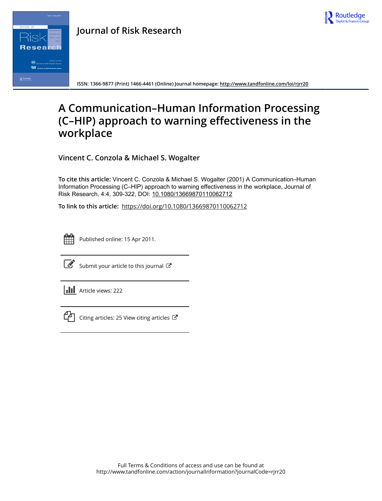

**Journal of Risk Research**

**ISSN: 1366-9877 (Print) 1466-4461 (Online) Journal homepage:<http://www.tandfonline.com/loi/rjrr20>**

# **A Communication–Human Information Processing (C–HIP) approach to warning effectiveness in the workplace**

**Vincent C. Conzola & Michael S. Wogalter**

**To cite this article:** Vincent C. Conzola & Michael S. Wogalter (2001) A Communication–Human Information Processing (C–HIP) approach to warning effectiveness in the workplace, Journal of Risk Research, 4:4, 309-322, DOI: [10.1080/13669870110062712](http://www.tandfonline.com/action/showCitFormats?doi=10.1080/13669870110062712)

**To link to this article:** <https://doi.org/10.1080/13669870110062712>



Published online: 15 Apr 2011.



 $\overrightarrow{S}$  [Submit your article to this journal](http://www.tandfonline.com/action/authorSubmission?journalCode=rjrr20&show=instructions)  $\overrightarrow{S}$ 





 $\mathbb{C}$  [Citing articles: 25 View citing articles](http://www.tandfonline.com/doi/citedby/10.1080/13669870110062712#tabModule)  $\mathbb{C}$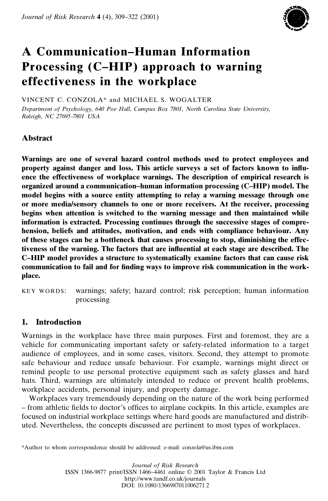

# **A Communication–Human Information Processing (C–HIP) approach to warning effectiveness in the workplace**

VINCENT C. CONZOLA\* and MICHAEL S. WOGALTER

*Department of Psychology, 640 Poe Hall, Campus Box 7801, North Carolina State University, Raleigh, NC 27695-7801 USA*

# **Abstract**

**Warnings are one of several hazard control methods used to protect employees and** property against danger and loss. This article surveys a set of factors known to influ**ence the effectiveness of workplace warnings. The description of empirical research is organized around a communication–human information processing (C–HIP) model. The model begins with a source entity attempting to relay a warning message through one or more media/sensory channels to one or more receivers. At the receiver, processing begins when attention is switched to the warning message and then maintained while information is extracted. Processing continues through the successive stages of compre hension, beliefs and attitudes, motivation, and ends with compliance behaviour. Any of these stages can be a bottleneck that causes processing to stop, diminishing the effec**tiveness of the warning. The factors that are influential at each stage are described. The **C–HIP model provides a structure to systematically examine factors that can cause risk** communication to fail and for finding ways to improve risk communication in the work**place.**

KEY WORDS: warnings; safety; hazard control; risk perception; human information processing

# **1. Introduction**

Warnings in the workplace have three main purposes. First and foremost, they are a vehicle for communicating important safety or safety-related information to a target audience of employees, and in some cases, visitors. Second, they attempt to promote safe behaviour and reduce unsafe behaviour. For example, warnings might direct or remind people to use personal protective equipment such as safety glasses and hard hats. Third, warnings are ultimately intended to reduce or prevent health problems, workplace accidents, personal injury, and property damage.

Workplaces vary tremendously depending on the nature of the work being performed – from athletic fields to doctor's offices to airplane cockpits. In this article, examples are focused on industrial workplace settings where hard goods are manufactured and distrib uted. Nevertheless, the concepts discussed are pertinent to most types of workplaces.

\*Author to whom correspondence should be addressed: e-mail: conzola@us.ibm.com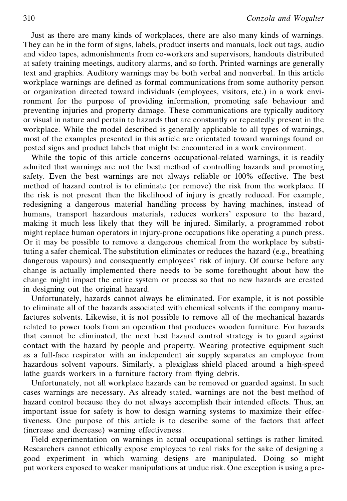Just as there are many kinds of workplaces, there are also many kinds of warnings. They can be in the form of signs, labels, product inserts and manuals, lock out tags, audio and video tapes, admonishments from co-workers and supervisors, handouts distributed at safety training meetings, auditory alarms, and so forth. Printed warnings are generally text and graphics. Auditory warnings may be both verbal and nonverbal. In this article workplace warnings are defined as formal communications from some authority person or organization directed toward individuals (employees, visitors, etc.) in a work envi ronment for the purpose of providing information, promoting safe behaviour and preventing injuries and property damage. These communications are typically auditory or visual in nature and pertain to hazards that are constantly or repeatedly present in the workplace. While the model described is generally applicable to all types of warnings, most of the examples presented in this article are orientated toward warnings found on posted signs and product labels that might be encountered in a work environment.

While the topic of this article concerns occupational-related warnings, it is readily admited that warnings are not the best method of controlling hazards and promoting safety. Even the best warnings are not always reliable or 100% effective. The best method of hazard control is to eliminate (or remove) the risk from the workplace. If the risk is not present then the likelihood of injury is greatly reduced. For example, redesigning a dangerous material handling process by having machines, instead of humans, transport hazardous materials, reduces workers' exposure to the hazard, making it much less likely that they will be injured. Similarly, a programmed robot might replace human operators in injury-prone occupations like operating a punch press. Or it may be possible to remove a dangerous chemical from the workplace by substituting a safer chemical. The substitution eliminates or reduces the hazard (e.g., breathing dangerous vapours) and consequently employees' risk of injury. Of course before any change is actually implemented there needs to be some forethought about how the change might impact the entire system or process so that no new hazards are created in designing out the original hazard.

Unfortunately, hazards cannot always be eliminated. For example, it is not possible to eliminate all of the hazards associated with chemical solvents if the company manufactures solvents. Likewise, it is not possible to remove all of the mechanical hazards related to power tools from an operation that produces wooden furniture. For hazards that cannot be eliminated, the next best hazard control strategy is to guard against contact with the hazard by people and property. Wearing protective equipment such as a full-face respirator with an independent air supply separates an employee from hazardous solvent vapours. Similarly, a plexiglass shield placed around a high-speed lathe guards workers in a furniture factory from flying debris.

Unfortunately, not all workplace hazards can be removed or guarded against. In such cases warnings are necessary. As already stated, warnings are not the best method of hazard control because they do not always accomplish their intended effects. Thus, an important issue for safety is how to design warning systems to maximize their effectiveness. One purpose of this article is to describe some of the factors that affect (increase and decrease) warning effectiveness.

Field experimentation on warnings in actual occupational settings is rather limited. Researchers cannot ethically expose employees to real risks for the sake of designing a good experiment in which warning designs are manipulated. Doing so might put workers exposed to weaker manipulations at undue risk. One exception is using a pre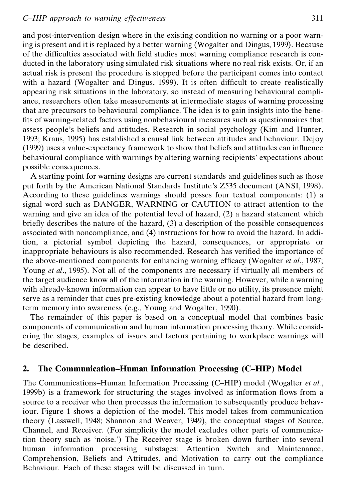and post-intervention design where in the existing condition no warning or a poor warning is present and it is replaced by a better warning (Wogalter and Dingus, 1999). Because of the difficulties associated with field studies most warning compliance research is conducted in the laboratory using simulated risk situations where no real risk exists. Or, if an actual risk is present the procedure is stopped before the participant comes into contact with a hazard (Wogalter and Dingus, 1999). It is often difficult to create realistically appearing risk situations in the laboratory, so instead of measuring behavioural compli ance, researchers often take measurements at intermediate stages of warning processing that are precursors to behavioural compliance. The idea is to gain insights into the bene fits of warning-related factors using nonbehavioural measures such as questionnaires that assess people's beliefs and attitudes. Research in social psychology (Kim and Hunter, 1993; Kraus, 1995) has established a causal link between attitudes and behaviour. Dejoy (1999) uses a value-expectancy framework to show that beliefs and attitudes can influence behavioural compliance with warnings by altering warning recipients' expectations about possible consequences.

A starting point for warning designs are current standards and guidelines such as those put forth by the American National Standards Institute's Z535 document (ANSI, 1998). According to these guidelines warnings should posses four textual components: (1) a signal word such as DANGER, WARNING or CAUTION to attract attention to the warning and give an idea of the potential level of hazard, (2) a hazard statement which briefly describes the nature of the hazard,  $(3)$  a description of the possible consequences associated with noncompliance, and (4) instructions for how to avoid the hazard. In addition, a pictorial symbol depicting the hazard, consequences, or appropriate or inappropriate behaviours is also recommended. Research has veried the importance of the above-mentioned components for enhancing warning efficacy (Wogalter *et al.*, 1987; Young *et al*., 1995). Not all of the components are necessary if virtually all members of the target audience know all of the information in the warning. However, while a warning with already-known information can appear to have little or no utility, its presence might serve as a reminder that cues pre-existing knowledge about a potential hazard from longterm memory into awareness (e.g., Young and Wogalter, 1990).

The remainder of this paper is based on a conceptual model that combines basic components of communication and human information processing theory. While consid ering the stages, examples of issues and factors pertaining to workplace warnings will be described.

## **2. The Communication–Human Information Processing (C–HIP) Model**

The Communications–Human Information Processing (C–HIP) model (Wogalter *et al.*, 1999b) is a framework for structuring the stages involved as information flows from a source to a receiver who then processes the information to subsequently produce behaviour. Figure 1 shows a depiction of the model. This model takes from communication theory (Lasswell, 1948; Shannon and Weaver, 1949), the conceptual stages of Source, Channel, and Receiver. (For simplicity the model excludes other parts of communication theory such as 'noise.') The Receiver stage is broken down further into several human information processing substages: Attention Switch and Maintenance, Comprehension, Beliefs and Attitudes, and Motivation to carry out the compliance Behaviour. Each of these stages will be discussed in turn.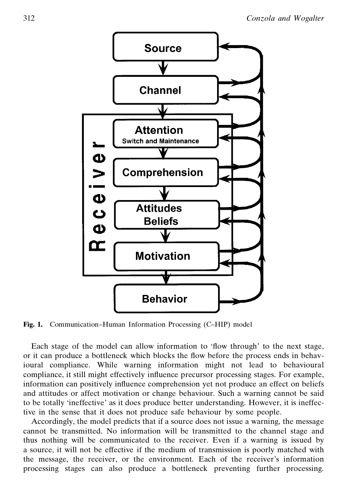

**Fig. 1.** Communication–Human Information Processing (C–HIP) model

Each stage of the model can allow information to 'flow through' to the next stage, or it can produce a bottleneck which blocks the flow before the process ends in behavioural compliance. While warning information might not lead to behavioural compliance, it still might effectively influence precursor processing stages. For example, information can positively influence comprehension yet not produce an effect on beliefs and attitudes or affect motivation or change behaviour. Such a warning cannot be said to be totally 'ineffective' as it does produce better understanding. However, it is ineffective in the sense that it does not produce safe behaviour by some people.

Accordingly, the model predicts that if a source does not issue a warning, the message cannot be transmitted. No information will be transmitted to the channel stage and thus nothing will be communicated to the receiver. Even if a warning is issued by a source, it will not be effective if the medium of transmission is poorly matched with the message, the receiver, or the environment. Each of the receiver's information processing stages can also produce a bottleneck preventing further processing.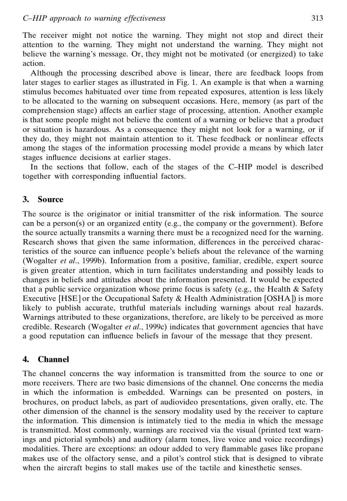The receiver might not notice the warning. They might not stop and direct their attention to the warning. They might not understand the warning. They might not believe the warning's message. Or, they might not be motivated (or energized) to take action.

Although the processing described above is linear, there are feedback loops from later stages to earlier stages as illustrated in Fig. 1. An example is that when a warning stimulus becomes habituated over time from repeated exposures, attention is less likely to be allocated to the warning on subsequent occasions. Here, memory (as part of the comprehension stage) affects an earlier stage of processing, attention. Another example is that some people might not believe the content of a warning or believe that a product or situation is hazardous. As a consequence they might not look for a warning, or if they do, they might not maintain attention to it. These feedback or nonlinear effects among the stages of the information processing model provide a means by which later stages influence decisions at earlier stages.

In the sections that follow, each of the stages of the C–HIP model is described together with corresponding influential factors.

## **3. Source**

The source is the originator or initial transmitter of the risk information. The source can be a person(s) or an organized entity (e.g., the company or the government). Before the source actually transmits a warning there must be a recognized need for the warning. Research shows that given the same information, differences in the perceived characteristics of the source can inuence people's beliefs about the relevance of the warning (Wogalter *et al*., 1999b). Information from a positive, familiar, credible, expert source is given greater attention, which in turn facilitates understanding and possibly leads to changes in beliefs and attitudes about the information presented. It would be expected that a public service organization whose prime focus is safety (e.g., the Health  $\&$  Safety Executive [HSE] or the Occupational Safety & Health Administration [OSHA]) is more likely to publish accurate, truthful materials including warnings about real hazards. Warnings attributed to these organizations, therefore, are likely to be perceived as more credible. Research (Wogalter *et al*., 1999c) indicates that government agencies that have a good reputation can influence beliefs in favour of the message that they present.

## **4. Channel**

The channel concerns the way information is transmitted from the source to one or more receivers. There are two basic dimensions of the channel. One concerns the media in which the information is embedded. Warnings can be presented on posters, in brochures, on product labels, as part of audiovideo presentations, given orally, etc. The other dimension of the channel is the sensory modality used by the receiver to capture the information. This dimension is intimately tied to the media in which the message is transmitted. Most commonly, warnings are received via the visual (printed text warnings and pictorial symbols) and auditory (alarm tones, live voice and voice recordings) modalities. There are exceptions: an odour added to very flammable gases like propane makes use of the olfactory sense, and a pilot's control stick that is designed to vibrate when the aircraft begins to stall makes use of the tactile and kinesthetic senses.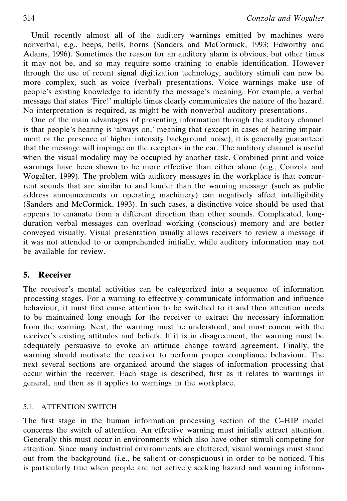Until recently almost all of the auditory warnings emitted by machines were nonverbal, e.g., beeps, bells, horns (Sanders and McCormick, 1993; Edworthy and Adams, 1996). Sometimes the reason for an auditory alarm is obvious, but other times it may not be, and so may require some training to enable identification. However through the use of recent signal digitization technology, auditory stimuli can now be more complex, such as voice (verbal) presentations. Voice warnings make use of people's existing knowledge to identify the message's meaning. For example, a verbal message that states 'Fire!' multiple times clearly communicates the nature of the hazard. No interpretation is required, as might be with nonverbal auditory presentations.

One of the main advantages of presenting information through the auditory channel is that people's hearing is 'always on,' meaning that (except in cases of hearing impair ment or the presence of higher intensity background noise), it is generally guaranteed that the message will impinge on the receptors in the ear. The auditory channel is useful when the visual modality may be occupied by another task. Combined print and voice warnings have been shown to be more effective than either alone (e.g., Conzola and Wogalter, 1999). The problem with auditory messages in the workplace is that concurrent sounds that are similar to and louder than the warning message (such as public address announcements or operating machinery) can negatively affect intelligibility (Sanders and McCormick, 1993). In such cases, a distinctive voice should be used that appears to emanate from a different direction than other sounds. Complicated, long duration verbal messages can overload working (conscious) memory and are better conveyed visually. Visual presentation usually allows receivers to review a message if it was not attended to or comprehended initially, while auditory information may not be available for review.

# **5. Receiver**

The receiver's mental activities can be categorized into a sequence of information processing stages. For a warning to effectively communicate information and influence behaviour, it must first cause attention to be switched to it and then attention needs to be maintained long enough for the receiver to extract the necessary information from the warning. Next, the warning must be understood, and must concur with the receiver's existing attitudes and beliefs. If it is in disagreement, the warning must be adequately persuasive to evoke an attitude change toward agreement. Finally, the warning should motivate the receiver to perform proper compliance behaviour. The next several sections are organized around the stages of information processing that occur within the receiver. Each stage is described, first as it relates to warnings in general, and then as it applies to warnings in the workplace.

#### 5.1. ATTENTION SWITCH

The first stage in the human information processing section of the C–HIP model concerns the switch of attention. An effective warning must initially attract attention. Generally this must occur in environments which also have other stimuli competing for attention. Since many industrial environments are cluttered, visual warnings must stand out from the background (i.e., be salient or conspicuous) in order to be noticed. This is particularly true when people are not actively seeking hazard and warning informa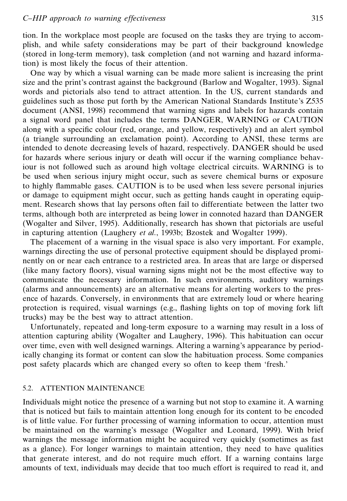tion. In the workplace most people are focused on the tasks they are trying to accom plish, and while safety considerations may be part of their background knowledge (stored in long-term memory), task completion (and not warning and hazard information) is most likely the focus of their attention.

One way by which a visual warning can be made more salient is increasing the print size and the print's contrast against the background (Barlow and Wogalter, 1993). Signal words and pictorials also tend to attract attention. In the US, current standards and guidelines such as those put forth by the American National Standards Institute's Z535 document (ANSI, 1998) recommend that warning signs and labels for hazards contain a signal word panel that includes the terms DANGER, WARNING or CAUTION along with a specific colour (red, orange, and yellow, respectively) and an alert symbol (a triangle surrounding an exclamation point). According to ANSI, these terms are intended to denote decreasing levels of hazard, respectively. DANGER should be used for hazards where serious injury or death will occur if the warning compliance behaviour is not followed such as around high voltage electrical circuits. WARNING is to be used when serious injury might occur, such as severe chemical burns or exposure to highly flammable gases. CAUTION is to be used when less severe personal injuries or damage to equipment might occur, such as getting hands caught in operating equip ment. Research shows that lay persons often fail to differentiate between the latter two terms, although both are interpreted as being lower in connoted hazard than DANGER (Wogalter and Silver, 1995). Additionally, research has shown that pictorials are useful in capturing attention (Laughery *et al.*, 1993b; Bzostek and Wogalter 1999).

The placement of a warning in the visual space is also very important. For example, warnings directing the use of personal protective equipment should be displayed promi nently on or near each entrance to a restricted area. In areas that are large or dispersed (like many factory floors), visual warning signs might not be the most effective way to communicate the necessary information. In such environments, auditory warnings (alarms and announcements) are an alternative means for alerting workers to the pres ence of hazards. Conversely, in environments that are extremely loud or where hearing protection is required, visual warnings (e.g., flashing lights on top of moving fork lift trucks) may be the best way to attract attention.

Unfortunately, repeated and long-term exposure to a warning may result in a loss of attention capturing ability (Wogalter and Laughery, 1996). This habituation can occur over time, even with well designed warnings. Altering a warning's appearance by periodically changing its format or content can slow the habituation process. Some companies post safety placards which are changed every so often to keep them 'fresh.'

## 5.2. ATTENTION MAINTENANCE

Individuals might notice the presence of a warning but not stop to examine it. A warning that is noticed but fails to maintain attention long enough for its content to be encoded is of little value. For further processing of warning information to occur, attention must be maintained on the warning's message (Wogalter and Leonard, 1999). With brief warnings the message information might be acquired very quickly (sometimes as fast as a glance). For longer warnings to maintain attention, they need to have qualities that generate interest, and do not require much effort. If a warning contains large amounts of text, individuals may decide that too much effort is required to read it, and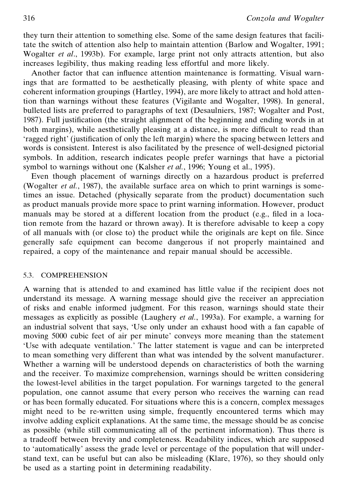they turn their attention to something else. Some of the same design features that facilitate the switch of attention also help to maintain attention (Barlow and Wogalter, 1991; Wogalter *et al*., 1993b). For example, large print not only attracts attention, but also increases legibility, thus making reading less effortful and more likely.

Another factor that can influence attention maintenance is formatting. Visual warnings that are formatted to be aesthetically pleasing, with plenty of white space and coherent information groupings (Hartley, 1994), are more likely to attract and hold attention than warnings without these features (Vigilante and Wogalter, 1998). In general, bulleted lists are preferred to paragraphs of text (Desaulniers, 1987; Wogalter and Post, 1987). Full justication (the straight alignment of the beginning and ending words in at both margins), while aesthetically pleasing at a distance, is more difficult to read than 'ragged right' (justification of only the left margin) where the spacing between letters and words is consistent. Interest is also facilitated by the presence of well-designed pictorial symbols. In addition, research indicates people prefer warnings that have a pictorial symbol to warnings without one (Kalsher *et al.*, 1996; Young et al., 1995).

Even though placement of warnings directly on a hazardous product is preferred (Wogalter *et al.*, 1987), the available surface area on which to print warnings is sometimes an issue. Detached (physically separate from the product) documentation such as product manuals provide more space to print warning information. However, product manuals may be stored at a different location from the product (e.g., filed in a location remote from the hazard or thrown away). It is therefore advisable to keep a copy of all manuals with (or close to) the product while the originals are kept on file. Since generally safe equipment can become dangerous if not properly maintained and repaired, a copy of the maintenance and repair manual should be accessible.

#### 5.3. COMPREHENSION

A warning that is attended to and examined has little value if the recipient does not understand its message. A warning message should give the receiver an appreciation of risks and enable informed judgment. For this reason, warnings should state their messages as explicitly as possible (Laughery *et al.*, 1993a). For example, a warning for an industrial solvent that says, 'Use only under an exhaust hood with a fan capable of moving 5000 cubic feet of air per minute' conveys more meaning than the statement 'Use with adequate ventilation.' The latter statement is vague and can be interpreted to mean something very different than what was intended by the solvent manufacturer. Whether a warning will be understood depends on characteristics of both the warning and the receiver. To maximize comprehension, warnings should be written considering the lowest-level abilities in the target population. For warnings targeted to the general population, one cannot assume that every person who receives the warning can read or has been formally educated. For situations where this is a concern, complex messages might need to be re-written using simple, frequently encountered terms which may involve adding explicit explanations. At the same time, the message should be as concise as possible (while still communicating all of the pertinent information). Thus there is a tradeoff between brevity and completeness. Readability indices, which are supposed to 'automatically' assess the grade level or percentage of the population that will understand text, can be useful but can also be misleading (Klare, 1976), so they should only be used as a starting point in determining readability.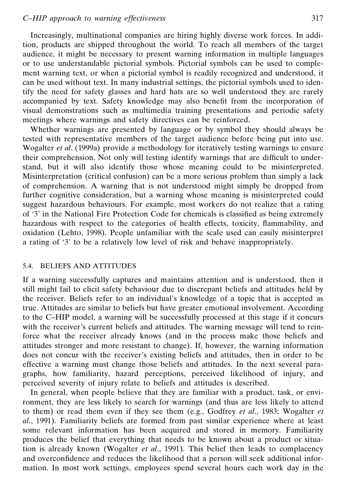Increasingly, multinational companies are hiring highly diverse work forces. In addition, products are shipped throughout the world. To reach all members of the target audience, it might be necessary to present warning information in multiple languages or to use understandable pictorial symbols. Pictorial symbols can be used to comple ment warning text, or when a pictorial symbol is readily recognized and understood, it can be used without text. In many industrial settings, the pictorial symbols used to identify the need for safety glasses and hard hats are so well understood they are rarely accompanied by text. Safety knowledge may also benefit from the incorporation of visual demonstrations such as multimedia training presentations and periodic safety meetings where warnings and safety directives can be reinforced.

Whether warnings are presented by language or by symbol they should always be tested with representative members of the target audience before being put into use. Wogalter *et al*. (1999a) provide a methodology for iteratively testing warnings to ensure their comprehension. Not only will testing identify warnings that are difficult to understand, but it will also identify those whose meaning could to be misinterpreted. Misinterpretation (critical confusion) can be a more serious problem than simply a lack of comprehension. A warning that is not understood might simply be dropped from further cognitive consideration, but a warning whose meaning is misinterpreted could suggest hazardous behaviours. For example, most workers do not realize that a rating of '3' in the National Fire Protection Code for chemicals is classied as being extremely hazardous with respect to the categories of health effects, toxicity, flammability, and oxidation (Lehto, 1998). People unfamiliar with the scale used can easily misinterpret a rating of '3' to be a relatively low level of risk and behave inappropriately.

#### 5.4. BELIEFS AND ATTITUDES

If a warning successfully captures and maintains attention and is understood, then it still might fail to elicit safety behaviour due to discrepant beliefs and attitudes held by the receiver. Beliefs refer to an individual's knowledge of a topic that is accepted as true. Attitudes are similar to beliefs but have greater emotional involvement. According to the C–HIP model, a warning will be successfully processed at this stage if it concurs with the receiver's current beliefs and attitudes. The warning message will tend to reinforce what the receiver already knows (and in the process make those beliefs and attitudes stronger and more resistant to change). If, however, the warning information does not concur with the receiver's existing beliefs and attitudes, then in order to be effective a warning must change those beliefs and attitudes. In the next several para graphs, how familiarity, hazard perceptions, perceived likelihood of injury, and perceived severity of injury relate to beliefs and attitudes is described.

In general, when people believe that they are familiar with a product, task, or environment, they are less likely to search for warnings (and thus are less likely to attend to them) or read them even if they see them (e.g., Godfrey *et al*., 1983; Wogalter *et al*., 1991). Familiarity beliefs are formed from past similar experience where at least some relevant information has been acquired and stored in memory. Familiarity produces the belief that everything that needs to be known about a product or situation is already known (Wogalter *et al*., 1991). This belief then leads to complacency and overconfidence and reduces the likelihood that a person will seek additional information. In most work settings, employees spend several hours each work day in the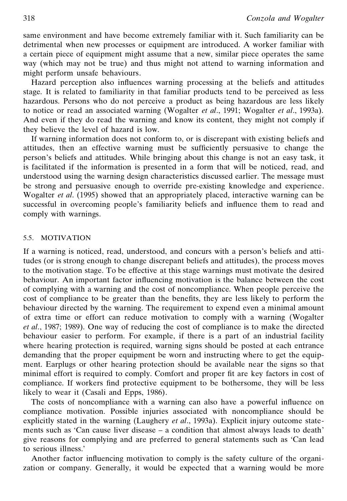same environment and have become extremely familiar with it. Such familiarity can be detrimental when new processes or equipment are introduced. A worker familiar with a certain piece of equipment might assume that a new, similar piece operates the same way (which may not be true) and thus might not attend to warning information and might perform unsafe behaviours.

Hazard perception also influences warning processing at the beliefs and attitudes stage. It is related to familiarity in that familiar products tend to be perceived as less hazardous. Persons who do not perceive a product as being hazardous are less likely to notice or read an associated warning (Wogalter *et al*., 1991; Wogalter *et al*., 1993a). And even if they do read the warning and know its content, they might not comply if they believe the level of hazard is low.

If warning information does not conform to, or is discrepant with existing beliefs and attitudes, then an effective warning must be sufficiently persuasive to change the person's beliefs and attitudes. While bringing about this change is not an easy task, it is facilitated if the information is presented in a form that will be noticed, read, and understood using the warning design characteristics discussed earlier. The message must be strong and persuasive enough to override pre-existing knowledge and experience. Wogalter *et al*. (1995) showed that an appropriately placed, interactive warning can be successful in overcoming people's familiarity beliefs and influence them to read and comply with warnings.

#### 5.5. MOTIVATION

If a warning is noticed, read, understood, and concurs with a person's beliefs and attitudes (or is strong enough to change discrepant beliefs and attitudes), the process moves to the motivation stage. To be effective at this stage warnings must motivate the desired behaviour. An important factor influencing motivation is the balance between the cost of complying with a warning and the cost of noncompliance. When people perceive the cost of compliance to be greater than the benets, they are less likely to perform the behaviour directed by the warning. The requirement to expend even a minimal amount of extra time or effort can reduce motivation to comply with a warning (Wogalter *et al*., 1987; 1989). One way of reducing the cost of compliance is to make the directed behaviour easier to perform. For example, if there is a part of an industrial facility where hearing protection is required, warning signs should be posted at each entrance demanding that the proper equipment be worn and instructing where to get the equip ment. Earplugs or other hearing protection should be available near the signs so that minimal effort is required to comply. Comfort and proper fit are key factors in cost of compliance. If workers find protective equipment to be bothersome, they will be less likely to wear it (Casali and Epps, 1986).

The costs of noncompliance with a warning can also have a powerful influence on compliance motivation. Possible injuries associated with noncompliance should be explicitly stated in the warning (Laughery *et al*., 1993a). Explicit injury outcome state ments such as 'Can cause liver disease – a condition that almost always leads to death' give reasons for complying and are preferred to general statements such as 'Can lead to serious illness.'

Another factor influencing motivation to comply is the safety culture of the organization or company. Generally, it would be expected that a warning would be more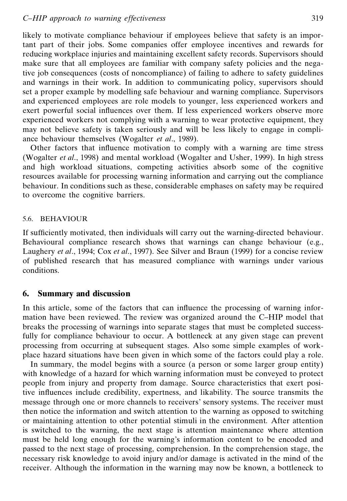likely to motivate compliance behaviour if employees believe that safety is an important part of their jobs. Some companies offer employee incentives and rewards for reducing workplace injuries and maintaining excellent safety records. Supervisors should make sure that all employees are familiar with company safety policies and the negative job consequences (costs of noncompliance) of failing to adhere to safety guidelines and warnings in their work. In addition to communicating policy, supervisors should set a proper example by modelling safe behaviour and warning compliance. Supervisors and experienced employees are role models to younger, less experienced workers and exert powerful social influences over them. If less experienced workers observe more experienced workers not complying with a warning to wear protective equipment, they may not believe safety is taken seriously and will be less likely to engage in compli ance behaviour themselves (Wogalter *et al*., 1989).

Other factors that influence motivation to comply with a warning are time stress (Wogalter *et al*., 1998) and mental workload (Wogalter and Usher, 1999). In high stress and high workload situations, competing activities absorb some of the cognitive resources available for processing warning information and carrying out the compliance behaviour. In conditions such as these, considerable emphases on safety may be required to overcome the cognitive barriers.

#### 5.6. BEHAVIOUR

If sufficiently motivated, then individuals will carry out the warning-directed behaviour. Behavioural compliance research shows that warnings can change behaviour (e.g., Laughery *et al*., 1994; Cox *et al*., 1997). See Silver and Braun (1999) for a concise review of published research that has measured compliance with warnings under various conditions.

## **6. Summary and discussion**

In this article, some of the factors that can influence the processing of warning information have been reviewed. The review was organized around the C–HIP model that breaks the processing of warnings into separate stages that must be completed successfully for compliance behaviour to occur. A bottleneck at any given stage can prevent processing from occurring at subsequent stages. Also some simple examples of work place hazard situations have been given in which some of the factors could play a role.

In summary, the model begins with a source (a person or some larger group entity) with knowledge of a hazard for which warning information must be conveyed to protect people from injury and property from damage. Source characteristics that exert positive influences include credibility, expertness, and likability. The source transmits the message through one or more channels to receivers' sensory systems. The receiver must then notice the information and switch attention to the warning as opposed to switching or maintaining attention to other potential stimuli in the environment. After attention is switched to the warning, the next stage is attention maintenance where attention must be held long enough for the warning's information content to be encoded and passed to the next stage of processing, comprehension. In the comprehension stage, the necessary risk knowledge to avoid injury and/or damage is activated in the mind of the receiver. Although the information in the warning may now be known, a bottleneck to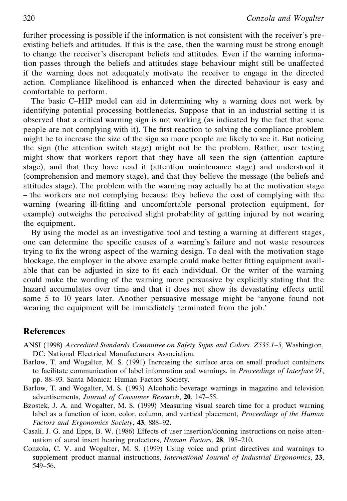further processing is possible if the information is not consistent with the receiver's pre existing beliefs and attitudes. If this is the case, then the warning must be strong enough to change the receiver's discrepant beliefs and attitudes. Even if the warning information passes through the beliefs and attitudes stage behaviour might still be unaffected if the warning does not adequately motivate the receiver to engage in the directed action. Compliance likelihood is enhanced when the directed behaviour is easy and comfortable to perform.

The basic C–HIP model can aid in determining why a warning does not work by identifying potential processing bottlenecks. Suppose that in an industrial setting it is observed that a critical warning sign is not working (as indicated by the fact that some people are not complying with it). The first reaction to solving the compliance problem might be to increase the size of the sign so more people are likely to see it. But noticing the sign (the attention switch stage) might not be the problem. Rather, user testing might show that workers report that they have all seen the sign (attention capture stage), and that they have read it (attention maintenance stage) and understood it (comprehension and memory stage), and that they believe the message (the beliefs and attitudes stage). The problem with the warning may actually be at the motivation stage – the workers are not complying because they believe the cost of complying with the warning (wearing ill-fitting and uncomfortable personal protection equipment, for example) outweighs the perceived slight probability of getting injured by not wearing the equipment.

By using the model as an investigative tool and testing a warning at different stages, one can determine the specic causes of a warning's failure and not waste resources trying to fix the wrong aspect of the warning design. To deal with the motivation stage blockage, the employer in the above example could make better tting equipment avail able that can be adjusted in size to fit each individual. Or the writer of the warning could make the wording of the warning more persuasive by explicitly stating that the hazard accumulates over time and that it does not show its devastating effects until some 5 to 10 years later. Another persuasive message might be 'anyone found not wearing the equipment will be immediately terminated from the job.'

# **References**

- ANSI (1998) *Accredited Standards Committee on Safety Signs and Colors. Z535.1–5,* Washington, DC: National Electrical Manufacturers Association.
- Barlow, T. and Wogalter, M. S. (1991) Increasing the surface area on small product containers to facilitate communication of label information and warnings, in *Proceedings of Interface 91*, pp. 88–93. Santa Monica: Human Factors Society.
- Barlow, T. and Wogalter, M. S. (1993) Alcoholic beverage warnings in magazine and television advertisements, *Journal of Consumer Research*, **20**, 147–55.
- Bzostek, J. A. and Wogalter, M. S. (1999) Measuring visual search time for a product warning label as a function of icon, color, column, and vertical placement, *Proceedings of the Human Factors and Ergonomics Society*, **43**, 888–92.
- Casali, J. G. and Epps, B. W. (1986) Effects of user insertion/donning instructions on noise atten uation of aural insert hearing protectors, *Human Factors*, **28**, 195–210.
- Conzola, C. V. and Wogalter, M. S. (1999) Using voice and print directives and warnings to supplement product manual instructions, *International Journal of Industrial Ergonomics*, **23**, 549–56.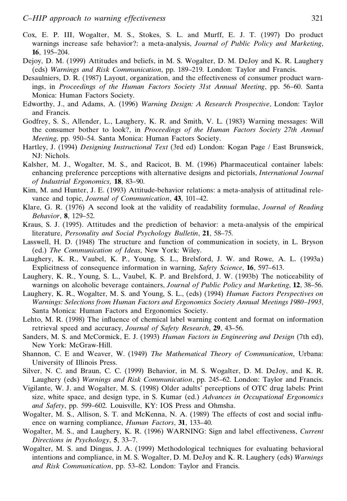- Cox, E. P. III, Wogalter, M. S., Stokes, S. L. and Murff, E. J. T. (1997) Do product warnings increase safe behavior?: a meta-analysis, *Journal of Public Policy and Marketing*, **16**, 195–204.
- Dejoy, D. M. (1999) Attitudes and beliefs, in M. S. Wogalter, D. M. DeJoy and K. R. Laughery (eds) *Warnings and Risk Communication*, pp. 189–219. London: Taylor and Francis.
- Desaulniers, D. R. (1987) Layout, organization, and the effectiveness of consumer product warnings, in *Proceedings of the Human Factors Society 31st Annual Meeting*, pp. 56–60. Santa Monica: Human Factors Society.
- Edworthy, J., and Adams, A. (1996) *Warning Design: A Research Prospective*, London: Taylor and Francis.
- Godfrey, S. S., Allender, L., Laughery, K. R. and Smith, V. L. (1983) Warning messages: Will the consumer bother to look?, in *Proceedings of the Human Factors Society 27th Annual Meeting*, pp. 950–54. Santa Monica: Human Factors Society.
- Hartley, J. (1994) *Designing Instructional Text* (3rd ed) London: Kogan Page / East Brunswick, NJ: Nichols.
- Kalsher, M. J., Wogalter, M. S., and Racicot, B. M. (1996) Pharmaceutical container labels: enhancing preference perceptions with alternative designs and pictorials, *International Journal of Industrial Ergonomics,* **18**, 83–90.
- Kim, M. and Hunter, J. E. (1993) Attitude-behavior relations: a meta-analysis of attitudinal rele vance and topic, *Journal of Communication*, **43**, 101–42.
- Klare, G. R. (1976) A second look at the validity of readability formulae, *Journal of Reading Behavior*, **8**, 129–52.
- Kraus, S. J. (1995). Attitudes and the prediction of behavior: a meta-analysis of the empirical literature, *Personality and Social Psychology Bulletin*, **21**, 58–75.
- Lasswell, H. D. (1948) The structure and function of communication in society, in L. Bryson (ed.) *The Communication of Ideas*, New York: Wiley.
- Laughery, K. R., Vaubel, K. P., Young, S. L., Brelsford, J. W. and Rowe, A. L. (1993a) Explicitness of consequence information in warning, *Safety Science*, **16**, 597–613.
- Laughery, K. R., Young, S. L., Vaubel, K. P. and Brelsford, J. W. (1993b) The noticeability of warnings on alcoholic beverage containers, *Journal of Public Policy and Marketing*, **12**, 38–56.
- Laughery, K. R., Wogalter, M. S. and Young, S. L., (eds) (1994) *Human Factors Perspectives on Warnings: Selections from Human Factors and Ergonomics Society Annual Meetings 1980–1993*, Santa Monica: Human Factors and Ergonomics Society.
- Lehto, M. R. (1998) The influence of chemical label warning content and format on information retrieval speed and accuracy, *Journal of Safety Research*, **29**, 43–56.
- Sanders, M. S. and McCormick, E. J. (1993) *Human Factors in Engineering and Design* (7th ed), New York: McGraw-Hill.
- Shannon, C. E and Weaver, W. (1949) *The Mathematical Theory of Communication,* Urbana: University of Illinois Press.
- Silver, N. C. and Braun, C. C. (1999) Behavior, in M. S. Wogalter, D. M. DeJoy, and K. R. Laughery (eds) *Warnings and Risk Communication*, pp. 245–62. London: Taylor and Francis.
- Vigilante, W. J. and Wogalter, M. S. (1998) Older adults' perceptions of OTC drug labels: Print size, white space, and design type, in S. Kumar (ed.) *Advances in Occupational Ergonomics and Safety*, pp. 599–602. Louisville, KY: IOS Press and Ohmsha.
- Wogalter, M. S., Allison, S. T. and McKenna, N. A. (1989) The effects of cost and social inu ence on warning compliance, *Human Factors*, **31**, 133–40.
- Wogalter, M. S., and Laughery, K. R. (1996) WARNING: Sign and label effectiveness, *Current Directions in Psychology*, **5**, 33–7.
- Wogalter, M. S. and Dingus, J. A. (1999) Methodological techniques for evaluating behavioral intentions and compliance, in M. S. Wogalter, D. M. DeJoy and K. R. Laughery (eds) *Warnings and Risk Communication*, pp. 53–82. London: Taylor and Francis.